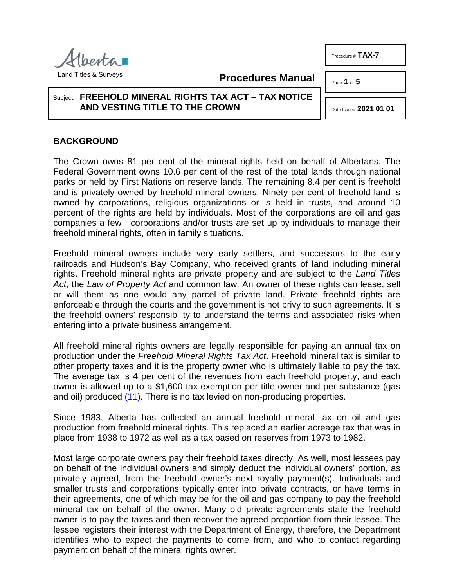

**Procedures Manual**

Subject: **FREEHOLD MINERAL RIGHTS TAX ACT – TAX NOTICE AND VESTING TITLE TO THE CROWN**

### **BACKGROUND**

The Crown owns 81 per cent of the mineral rights held on behalf of Albertans. The Federal Government owns 10.6 per cent of the rest of the total lands through national parks or held by First Nations on reserve lands. The remaining 8.4 per cent is freehold and is privately owned by freehold mineral owners. Ninety per cent of freehold land is owned by corporations, religious organizations or is held in trusts, and around 10 percent of the rights are held by individuals. Most of the corporations are oil and gas companies a few corporations and/or trusts are set up by individuals to manage their freehold mineral rights, often in family situations.

Freehold mineral owners include very early settlers, and successors to the early railroads and Hudson's Bay Company, who received grants of land including mineral rights. Freehold mineral rights are private property and are subject to the *Land Titles Act*, the *Law of Property Act* and common law. An owner of these rights can lease, sell or will them as one would any parcel of private land. Private freehold rights are enforceable through the courts and the government is not privy to such agreements. It is the freehold owners' responsibility to understand the terms and associated risks when entering into a private business arrangement.

All freehold mineral rights owners are legally responsible for paying an annual tax on production under the *Freehold Mineral Rights Tax Act*. Freehold mineral tax is similar to other property taxes and it is the property owner who is ultimately liable to pay the tax. The average tax is 4 per cent of the revenues from each freehold property, and each owner is allowed up to a \$1,600 tax exemption per title owner and per substance (gas and oil) produced [\(11\).](#page-4-0) There is no tax levied on non-producing properties.

<span id="page-0-0"></span>Since 1983, Alberta has collected an annual freehold mineral tax on oil and gas production from freehold mineral rights. This replaced an earlier acreage tax that was in place from 1938 to 1972 as well as a tax based on reserves from 1973 to 1982.

Most large corporate owners pay their freehold taxes directly. As well, most lessees pay on behalf of the individual owners and simply deduct the individual owners' portion, as privately agreed, from the freehold owner's next royalty payment(s). Individuals and smaller trusts and corporations typically enter into private contracts, or have terms in their agreements, one of which may be for the oil and gas company to pay the freehold mineral tax on behalf of the owner. Many old private agreements state the freehold owner is to pay the taxes and then recover the agreed proportion from their lessee. The lessee registers their interest with the Department of Energy, therefore, the Department identifies who to expect the payments to come from, and who to contact regarding payment on behalf of the mineral rights owner.

Procedure # **TAX-7**

Date Issued **2021 01 01**

Page **1** of **5**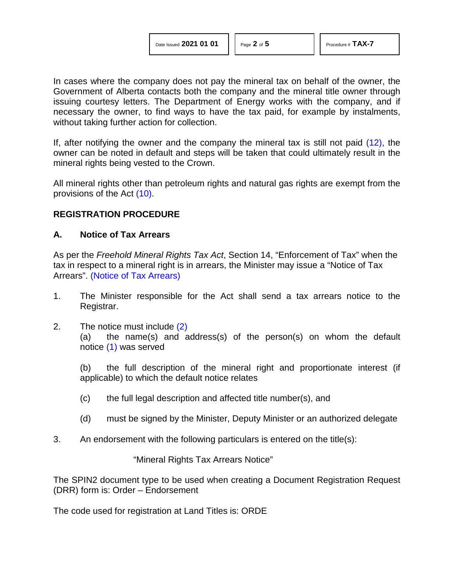In cases where the company does not pay the mineral tax on behalf of the owner, the Government of Alberta contacts both the company and the mineral title owner through issuing courtesy letters. The Department of Energy works with the company, and if necessary the owner, to find ways to have the tax paid, for example by instalments, without taking further action for collection.

<span id="page-1-3"></span>If, after notifying the owner and the company the mineral tax is still not paid [\(12\),](#page-4-1) the owner can be noted in default and steps will be taken that could ultimately result in the mineral rights being vested to the Crown.

<span id="page-1-2"></span>All mineral rights other than petroleum rights and natural gas rights are exempt from the provisions of the Act [\(10\).](#page-4-2)

# **REGISTRATION PROCEDURE**

#### **A. Notice of Tax Arrears**

As per the *Freehold Mineral Rights Tax Act*, Section 14, "Enforcement of Tax" when the tax in respect to a mineral right is in arrears, the Minister may issue a "Notice of Tax Arrears". [\(Notice of Tax Arrears\)](http://www.servicealberta.ca/pdf/ltmanual/TAX-7%20Notice%20to%20Registar%20for%20tax%20arrears%20-%20signature%20version.pdf)

- 1. The Minister responsible for the Act shall send a tax arrears notice to the Registrar.
- 2. The notice must include [\(2\)](#page-4-3)

<span id="page-1-1"></span><span id="page-1-0"></span>(a) the name(s) and address(s) of the person(s) on whom the default notice [\(1\)](#page-4-4) was served

(b) the full description of the mineral right and proportionate interest (if applicable) to which the default notice relates

- (c) the full legal description and affected title number(s), and
- (d) must be signed by the Minister, Deputy Minister or an authorized delegate
- 3. An endorsement with the following particulars is entered on the title(s):

"Mineral Rights Tax Arrears Notice"

The SPIN2 document type to be used when creating a Document Registration Request (DRR) form is: Order – Endorsement

The code used for registration at Land Titles is: ORDE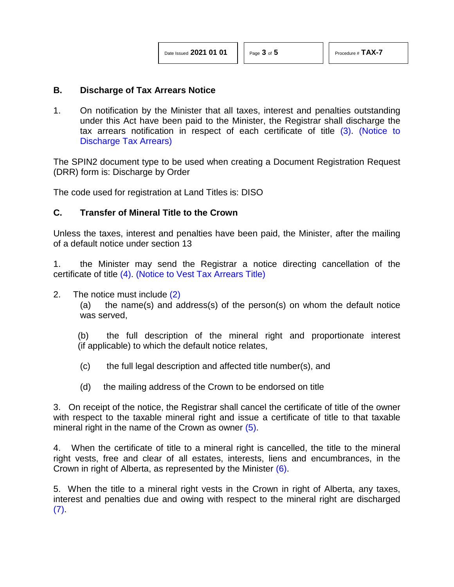### **B. Discharge of Tax Arrears Notice**

<span id="page-2-0"></span>1. On notification by the Minister that all taxes, interest and penalties outstanding under this Act have been paid to the Minister, the Registrar shall discharge the tax arrears notification in respect of each certificate of title [\(3\).](#page-4-5) [\(Notice to](http://www.servicealberta.ca/pdf/ltmanual/TAX-7%20Notice%20to%20Registar%20to%20Discharge%20Tax%20Arrears%20Notice%20-%20signature%20version.pdf)  [Discharge Tax Arrears\)](http://www.servicealberta.ca/pdf/ltmanual/TAX-7%20Notice%20to%20Registar%20to%20Discharge%20Tax%20Arrears%20Notice%20-%20signature%20version.pdf)

The SPIN2 document type to be used when creating a Document Registration Request (DRR) form is: Discharge by Order

The code used for registration at Land Titles is: DISO

# **C. Transfer of Mineral Title to the Crown**

Unless the taxes, interest and penalties have been paid, the Minister, after the mailing of a default notice under section 13

<span id="page-2-1"></span>1. the Minister may send the Registrar a notice directing cancellation of the certificate of title [\(4\).](#page-4-6) [\(Notice to Vest Tax Arrears Title\)](http://www.servicealberta.ca/pdf/ltmanual/TAX-7%20Notice%20to%20Registar%20to%20Vest%20Title%20-%20Signature%20Version.pdf)

2. The notice must include [\(2\)](#page-4-3) (a) the name(s) and address(s) of the person(s) on whom the default notice was served,

(b) the full description of the mineral right and proportionate interest (if applicable) to which the default notice relates,

- (c) the full legal description and affected title number(s), and
- <span id="page-2-3"></span><span id="page-2-2"></span>(d) the mailing address of the Crown to be endorsed on title

3. On receipt of the notice, the Registrar shall cancel the certificate of title of the owner with respect to the taxable mineral right and issue a certificate of title to that taxable mineral right in the name of the Crown as owner [\(5\).](#page-4-7)

4. When the certificate of title to a mineral right is cancelled, the title to the mineral right vests, free and clear of all estates, interests, liens and encumbrances, in the Crown in right of Alberta, as represented by the Minister [\(6\).](#page-4-8)

<span id="page-2-4"></span>5. When the title to a mineral right vests in the Crown in right of Alberta, any taxes, interest and penalties due and owing with respect to the mineral right are discharged [\(7\).](#page-4-9)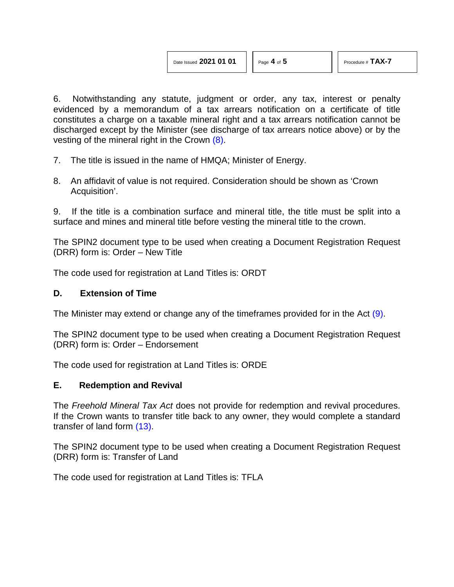<span id="page-3-0"></span>

|  | Date Issued 2021 01 01 |  |  |  |  |
|--|------------------------|--|--|--|--|
|--|------------------------|--|--|--|--|

6. Notwithstanding any statute, judgment or order, any tax, interest or penalty evidenced by a memorandum of a tax arrears notification on a certificate of title constitutes a charge on a taxable mineral right and a tax arrears notification cannot be discharged except by the Minister (see discharge of tax arrears notice above) or by the vesting of the mineral right in the Crown [\(8\).](#page-4-10)

- 7. The title is issued in the name of HMQA; Minister of Energy.
- 8. An affidavit of value is not required. Consideration should be shown as 'Crown Acquisition'.

9. If the title is a combination surface and mineral title, the title must be split into a surface and mines and mineral title before vesting the mineral title to the crown.

The SPIN2 document type to be used when creating a Document Registration Request (DRR) form is: Order – New Title

The code used for registration at Land Titles is: ORDT

### **D. Extension of Time**

<span id="page-3-1"></span>The Minister may extend or change any of the timeframes provided for in the Act [\(9\).](#page-4-11)

The SPIN2 document type to be used when creating a Document Registration Request (DRR) form is: Order – Endorsement

The code used for registration at Land Titles is: ORDE

#### **E. Redemption and Revival**

<span id="page-3-2"></span>The *Freehold Mineral Tax Act* does not provide for redemption and revival procedures. If the Crown wants to transfer title back to any owner, they would complete a standard transfer of land form [\(13\).](#page-4-12)

The SPIN2 document type to be used when creating a Document Registration Request (DRR) form is: Transfer of Land

The code used for registration at Land Titles is: TFLA